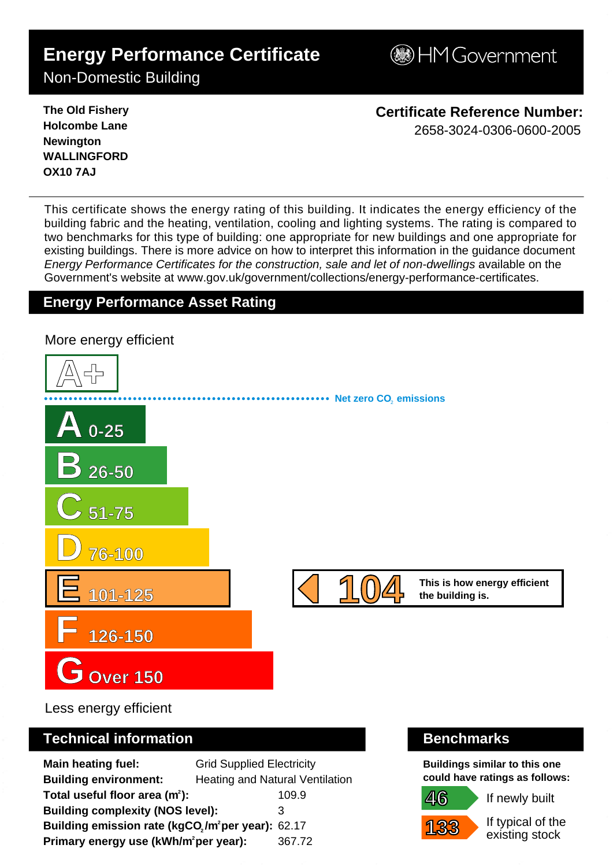# **Energy Performance Certificate**

**BHM Government** 

Non-Domestic Building

**The Old Fishery Holcombe Lane Newington WALLINGFORD OX10 7AJ**

**Certificate Reference Number:** 2658-3024-0306-0600-2005

This certificate shows the energy rating of this building. It indicates the energy efficiency of the building fabric and the heating, ventilation, cooling and lighting systems. The rating is compared to two benchmarks for this type of building: one appropriate for new buildings and one appropriate for existing buildings. There is more advice on how to interpret this information in the guidance document Energy Performance Certificates for the construction, sale and let of non-dwellings available on the Government's website at www.gov.uk/government/collections/energy-performance-certificates.

# **Energy Performance Asset Rating**

**A+ A 0-25 B 26-50 C 51-75 D 76-100 E 101-125 F 126-150 GOver 150 This is how energy efficient 104 the building is. Net zero CO**, emissions More energy efficient 1 0 4 - 2 6 5 8 - 3 0 2 4 - 0 3 0 6 - 0 6 0 0 - 2 0 0 5 - S K 6 1 1 5 6 1 6 5 9 3 1 0 - D C L G x E P C g e n 2 0 0

Less energy efficient

# **Technical information Benchmarks**

**Main heating fuel:** Grid Supplied Electricity **Building environment:** Heating and Natural Ventilation **Total useful floor area (m<sup>2</sup>):** 109.9 **Building complexity (NOS level):** 3 **Building emission rate (kgCO<sub>2</sub>/m<sup>2</sup>per year): 62.17 Primary energy use (kWh/m<sup>2</sup>per year):** 367.72

**Buildings similar to this one could have ratings as follows:**

If newly built



**46**

If typical of the existing stock